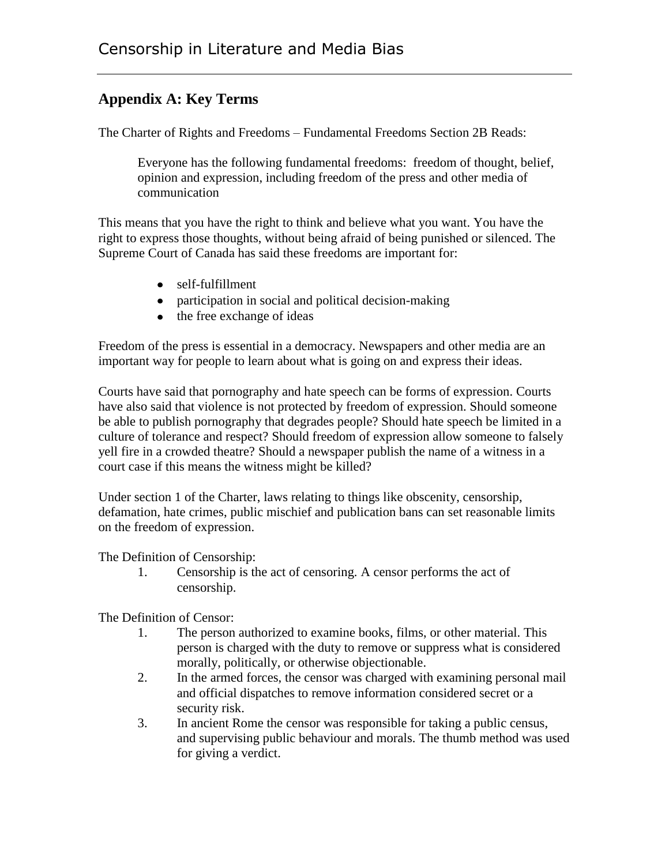## **Appendix A: Key Terms**

The Charter of Rights and Freedoms – Fundamental Freedoms Section 2B Reads:

Everyone has the following fundamental freedoms: freedom of thought, belief, opinion and expression, including freedom of the press and other media of communication

This means that you have the right to think and believe what you want. You have the right to express those thoughts, without being afraid of being punished or silenced. The Supreme Court of Canada has said these freedoms are important for:

- self-fulfillment
- participation in social and political decision-making
- the free exchange of ideas

Freedom of the press is essential in a democracy. Newspapers and other media are an important way for people to learn about what is going on and express their ideas.

Courts have said that pornography and hate speech can be forms of expression. Courts have also said that violence is not protected by freedom of expression. Should someone be able to publish pornography that degrades people? Should hate speech be limited in a culture of tolerance and respect? Should freedom of expression allow someone to falsely yell fire in a crowded theatre? Should a newspaper publish the name of a witness in a court case if this means the witness might be killed?

Under section 1 of the Charter, laws relating to things like obscenity, censorship, defamation, hate crimes, public mischief and publication bans can set reasonable limits on the freedom of expression.

The Definition of Censorship:

1. Censorship is the act of censoring. A censor performs the act of censorship.

The Definition of Censor:

- 1. The person authorized to examine books, films, or other material. This person is charged with the duty to remove or suppress what is considered morally, politically, or otherwise objectionable.
- 2. In the armed forces, the censor was charged with examining personal mail and official dispatches to remove information considered secret or a security risk.
- 3. In ancient Rome the censor was responsible for taking a public census, and supervising public behaviour and morals. The thumb method was used for giving a verdict.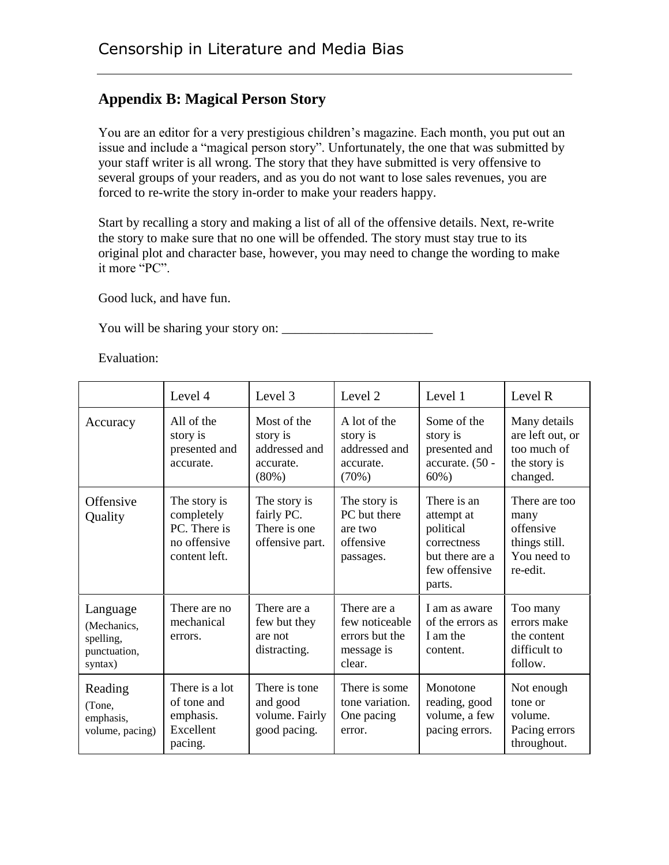## **Appendix B: Magical Person Story**

You are an editor for a very prestigious children's magazine. Each month, you put out an issue and include a "magical person story". Unfortunately, the one that was submitted by your staff writer is all wrong. The story that they have submitted is very offensive to several groups of your readers, and as you do not want to lose sales revenues, you are forced to re-write the story in-order to make your readers happy.

Start by recalling a story and making a list of all of the offensive details. Next, re-write the story to make sure that no one will be offended. The story must stay true to its original plot and character base, however, you may need to change the wording to make it more "PC".

Good luck, and have fun.

You will be sharing your story on: \_\_\_\_\_\_\_\_\_\_\_\_\_\_\_\_\_\_\_\_\_\_\_

Evaluation:

|                                                                 | Level 4                                                                     | Level 3                                                        | Level 2                                                                 | Level 1                                                                                             | Level R                                                                        |
|-----------------------------------------------------------------|-----------------------------------------------------------------------------|----------------------------------------------------------------|-------------------------------------------------------------------------|-----------------------------------------------------------------------------------------------------|--------------------------------------------------------------------------------|
| Accuracy                                                        | All of the<br>story is<br>presented and<br>accurate.                        | Most of the<br>story is<br>addressed and<br>accurate.<br>(80%) | A lot of the<br>story is<br>addressed and<br>accurate.<br>(70%)         | Some of the<br>story is<br>presented and<br>accurate. (50 -<br>$60\%$ )                             | Many details<br>are left out, or<br>too much of<br>the story is<br>changed.    |
| Offensive<br>Quality                                            | The story is<br>completely<br>PC. There is<br>no offensive<br>content left. | The story is<br>fairly PC.<br>There is one<br>offensive part.  | The story is<br>PC but there<br>are two<br>offensive<br>passages.       | There is an<br>attempt at<br>political<br>correctness<br>but there are a<br>few offensive<br>parts. | There are too<br>many<br>offensive<br>things still.<br>You need to<br>re-edit. |
| Language<br>(Mechanics,<br>spelling,<br>punctuation,<br>syntax) | There are no<br>mechanical<br>errors.                                       | There are a<br>few but they<br>are not<br>distracting.         | There are a<br>few noticeable<br>errors but the<br>message is<br>clear. | I am as aware<br>of the errors as<br>I am the<br>content.                                           | Too many<br>errors make<br>the content<br>difficult to<br>follow.              |
| Reading<br>(Tone,<br>emphasis,<br>volume, pacing)               | There is a lot<br>of tone and<br>emphasis.<br>Excellent<br>pacing.          | There is tone<br>and good<br>volume. Fairly<br>good pacing.    | There is some<br>tone variation.<br>One pacing<br>error.                | Monotone<br>reading, good<br>volume, a few<br>pacing errors.                                        | Not enough<br>tone or<br>volume.<br>Pacing errors<br>throughout.               |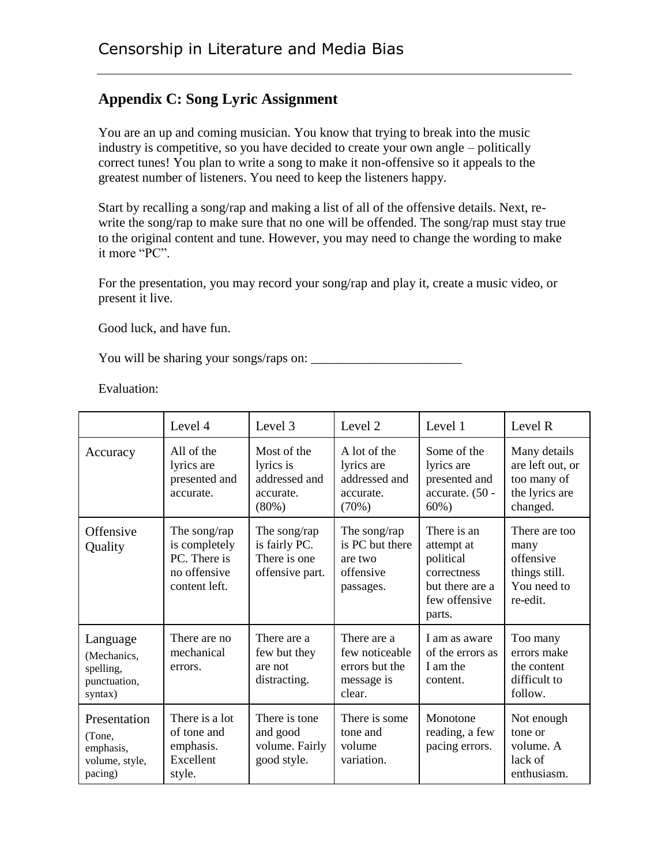## **Appendix C: Song Lyric Assignment**

You are an up and coming musician. You know that trying to break into the music industry is competitive, so you have decided to create your own angle – politically correct tunes! You plan to write a song to make it non-offensive so it appeals to the greatest number of listeners. You need to keep the listeners happy.

Start by recalling a song/rap and making a list of all of the offensive details. Next, rewrite the song/rap to make sure that no one will be offended. The song/rap must stay true to the original content and tune. However, you may need to change the wording to make it more "PC".

For the presentation, you may record your song/rap and play it, create a music video, or present it live.

Good luck, and have fun.

You will be sharing your songs/raps on: \_\_\_\_\_\_\_\_\_\_\_\_\_\_\_\_\_\_\_\_\_\_\_

Evaluation:

|                                                                  | Level 4                                                                        | Level 3                                                            | Level 2                                                                 | Level 1                                                                                             | Level R                                                                        |
|------------------------------------------------------------------|--------------------------------------------------------------------------------|--------------------------------------------------------------------|-------------------------------------------------------------------------|-----------------------------------------------------------------------------------------------------|--------------------------------------------------------------------------------|
| Accuracy                                                         | All of the<br>lyrics are<br>presented and<br>accurate.                         | Most of the<br>lyrics is<br>addressed and<br>accurate.<br>$(80\%)$ | A lot of the<br>lyrics are<br>addressed and<br>accurate.<br>(70%)       | Some of the<br>lyrics are<br>presented and<br>accurate. (50 -<br>$60\%$ )                           | Many details<br>are left out, or<br>too many of<br>the lyrics are<br>changed.  |
| Offensive<br>Quality                                             | The song/rap<br>is completely<br>PC. There is<br>no offensive<br>content left. | The song/rap<br>is fairly PC.<br>There is one<br>offensive part.   | The song/rap<br>is PC but there<br>are two<br>offensive<br>passages.    | There is an<br>attempt at<br>political<br>correctness<br>but there are a<br>few offensive<br>parts. | There are too<br>many<br>offensive<br>things still.<br>You need to<br>re-edit. |
| Language<br>(Mechanics,<br>spelling,<br>punctuation,<br>syntax)  | There are no<br>mechanical<br>errors.                                          | There are a<br>few but they<br>are not<br>distracting.             | There are a<br>few noticeable<br>errors but the<br>message is<br>clear. | I am as aware<br>of the errors as<br>I am the<br>content.                                           | Too many<br>errors make<br>the content<br>difficult to<br>follow.              |
| Presentation<br>(Tone,<br>emphasis,<br>volume, style,<br>pacing) | There is a lot<br>of tone and<br>emphasis.<br>Excellent<br>style.              | There is tone<br>and good<br>volume. Fairly<br>good style.         | There is some<br>tone and<br>volume<br>variation.                       | Monotone<br>reading, a few<br>pacing errors.                                                        | Not enough<br>tone or<br>volume. A<br>lack of<br>enthusiasm.                   |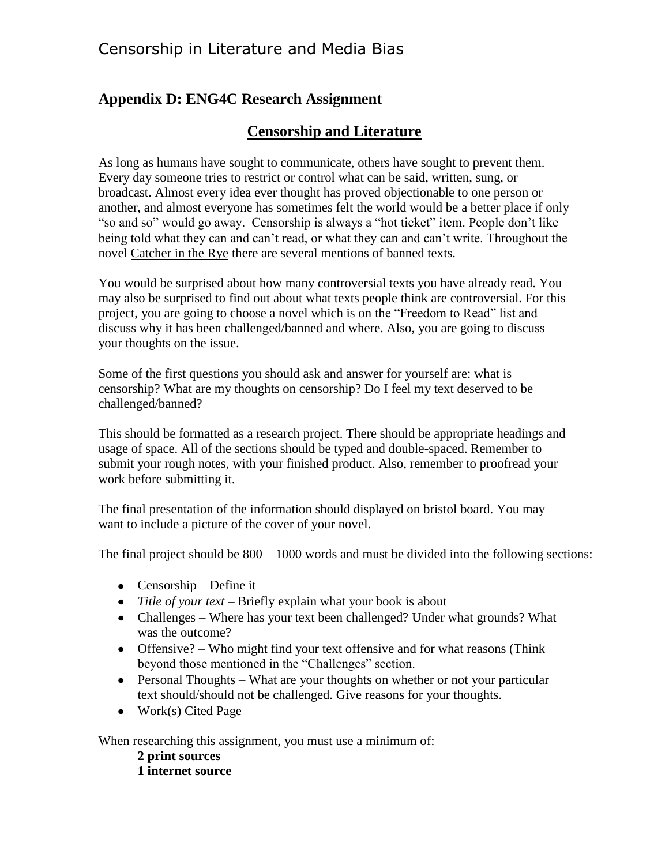## **Appendix D: ENG4C Research Assignment**

## **Censorship and Literature**

As long as humans have sought to communicate, others have sought to prevent them. Every day someone tries to restrict or control what can be said, written, sung, or broadcast. Almost every idea ever thought has proved objectionable to one person or another, and almost everyone has sometimes felt the world would be a better place if only "so and so" would go away. Censorship is always a "hot ticket" item. People don't like being told what they can and can't read, or what they can and can't write. Throughout the novel Catcher in the Rye there are several mentions of banned texts.

You would be surprised about how many controversial texts you have already read. You may also be surprised to find out about what texts people think are controversial. For this project, you are going to choose a novel which is on the "Freedom to Read" list and discuss why it has been challenged/banned and where. Also, you are going to discuss your thoughts on the issue.

Some of the first questions you should ask and answer for yourself are: what is censorship? What are my thoughts on censorship? Do I feel my text deserved to be challenged/banned?

This should be formatted as a research project. There should be appropriate headings and usage of space. All of the sections should be typed and double-spaced. Remember to submit your rough notes, with your finished product. Also, remember to proofread your work before submitting it.

The final presentation of the information should displayed on bristol board. You may want to include a picture of the cover of your novel.

The final project should be 800 – 1000 words and must be divided into the following sections:

- Censorship Define it
- *Title of your text* Briefly explain what your book is about
- Challenges Where has your text been challenged? Under what grounds? What was the outcome?
- Offensive? Who might find your text offensive and for what reasons (Think beyond those mentioned in the "Challenges" section.
- Personal Thoughts What are your thoughts on whether or not your particular text should/should not be challenged. Give reasons for your thoughts.
- $\bullet$  Work(s) Cited Page

When researching this assignment, you must use a minimum of:

**2 print sources 1 internet source**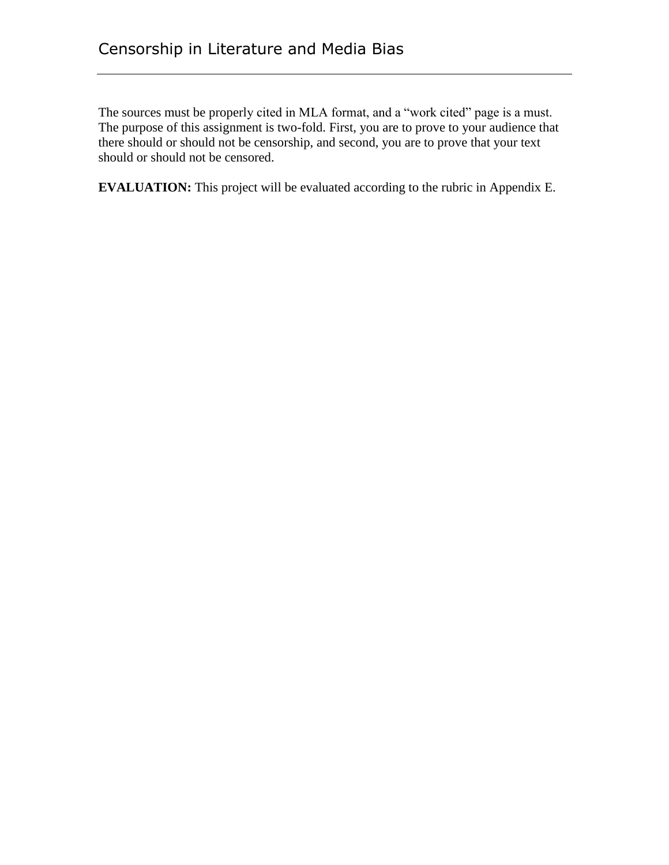The sources must be properly cited in MLA format, and a "work cited" page is a must. The purpose of this assignment is two-fold. First, you are to prove to your audience that there should or should not be censorship, and second, you are to prove that your text should or should not be censored.

**EVALUATION:** This project will be evaluated according to the rubric in Appendix E.